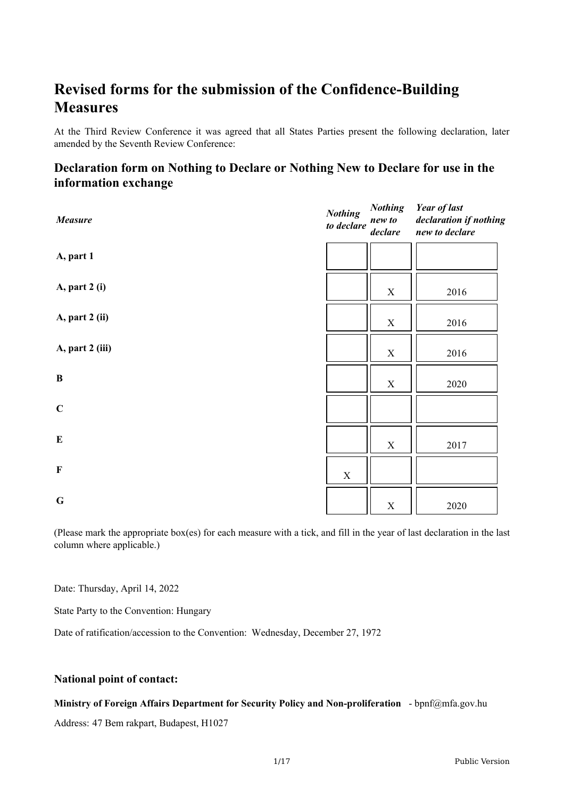# **Revised forms for the submission of the Confidence-Building Measures**

At the Third Review Conference it was agreed that all States Parties present the following declaration, later amended by the Seventh Review Conference:

## **Declaration form on Nothing to Declare or Nothing New to Declare for use in the information exchange**

| Measure         | <b>Nothing</b><br>to declare | <b>Nothing</b><br>new to<br>declare | <b>Year of last</b><br>declaration if nothing<br>new to declare |
|-----------------|------------------------------|-------------------------------------|-----------------------------------------------------------------|
| A, part 1       |                              |                                     |                                                                 |
| A, part 2 (i)   |                              | $\mathbf X$                         | 2016                                                            |
| A, part 2 (ii)  |                              | $\mathbf X$                         | 2016                                                            |
| A, part 2 (iii) |                              | $\mathbf X$                         | 2016                                                            |
| $\, {\bf B}$    |                              | $\mathbf X$                         | 2020                                                            |
| $\mathbf C$     |                              |                                     |                                                                 |
| ${\bf E}$       |                              | $\mathbf X$                         | 2017                                                            |
| $\mathbf F$     | $\mathbf X$                  |                                     |                                                                 |
| $\mathbf G$     |                              | $\mathbf X$                         | 2020                                                            |

(Please mark the appropriate box(es) for each measure with a tick, and fill in the year of last declaration in the last column where applicable.)

Date: Thursday, April 14, 2022

State Party to the Convention: Hungary

Date of ratification/accession to the Convention: Wednesday, December 27, 1972

#### **National point of contact:**

#### **Ministry of Foreign Affairs Department for Security Policy and Non-proliferation** - bpnf@mfa.gov.hu

Address: 47 Bem rakpart, Budapest, H1027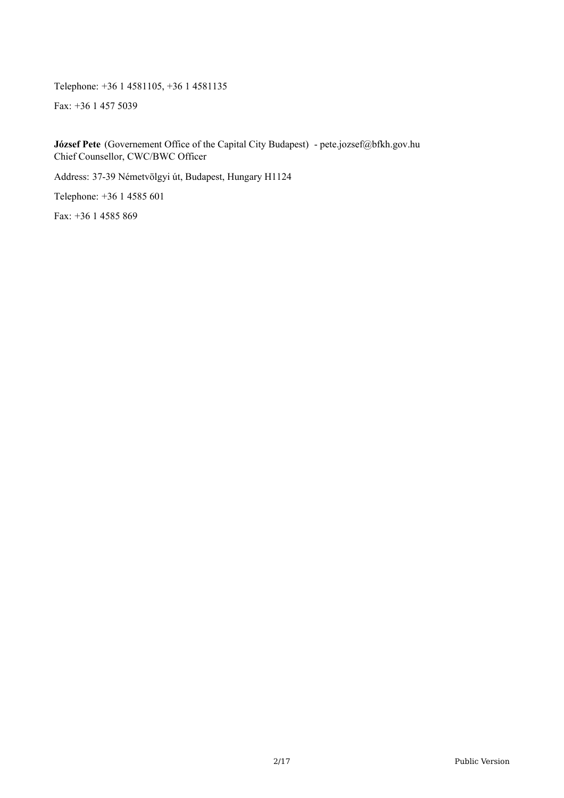Telephone: +36 1 4581105, +36 1 4581135

Fax: +36 1 457 5039

**József Pete** (Governement Office of the Capital City Budapest) - pete.jozsef@bfkh.gov.hu Chief Counsellor, CWC/BWC Officer

Address: 37-39 Németvölgyi út, Budapest, Hungary H1124

Telephone: +36 1 4585 601

Fax: +36 1 4585 869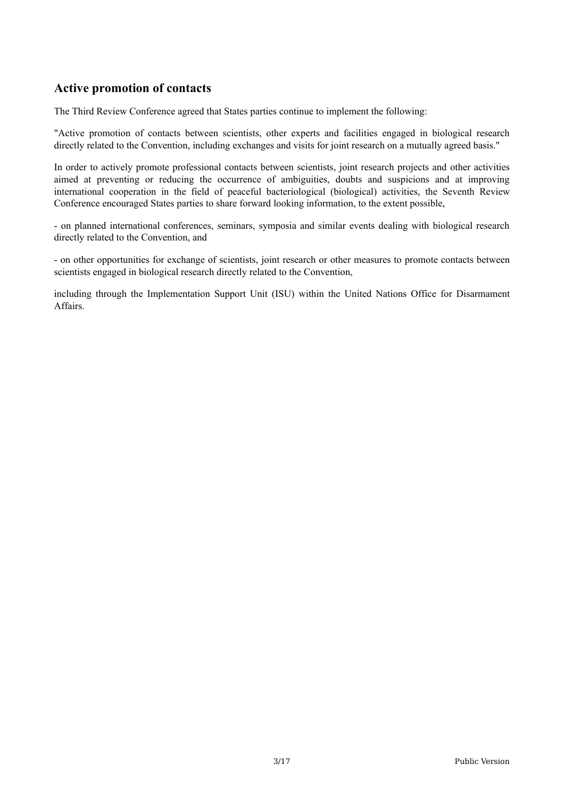#### **Active promotion of contacts**

The Third Review Conference agreed that States parties continue to implement the following:

"Active promotion of contacts between scientists, other experts and facilities engaged in biological research directly related to the Convention, including exchanges and visits for joint research on a mutually agreed basis."

In order to actively promote professional contacts between scientists, joint research projects and other activities aimed at preventing or reducing the occurrence of ambiguities, doubts and suspicions and at improving international cooperation in the field of peaceful bacteriological (biological) activities, the Seventh Review Conference encouraged States parties to share forward looking information, to the extent possible,

- on planned international conferences, seminars, symposia and similar events dealing with biological research directly related to the Convention, and

- on other opportunities for exchange of scientists, joint research or other measures to promote contacts between scientists engaged in biological research directly related to the Convention,

including through the Implementation Support Unit (ISU) within the United Nations Office for Disarmament Affairs.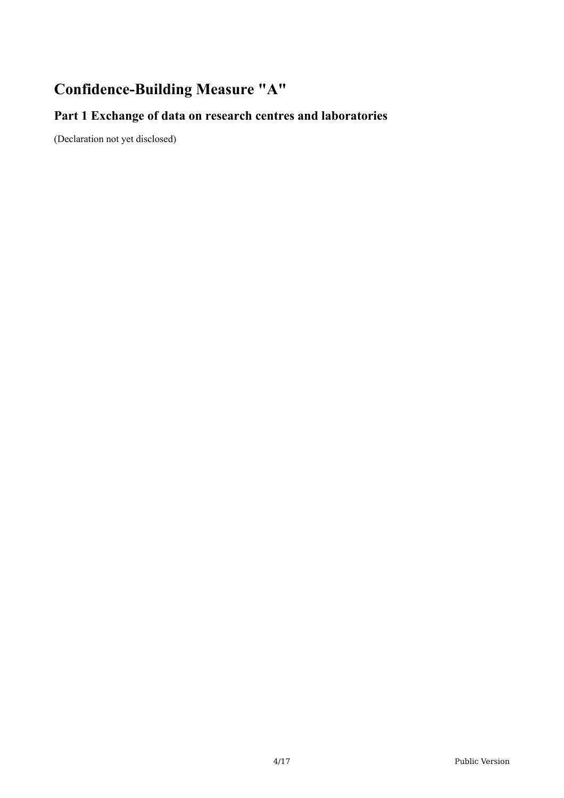# **Confidence-Building Measure "A"**

# **Part 1 Exchange of data on research centres and laboratories**

(Declaration not yet disclosed)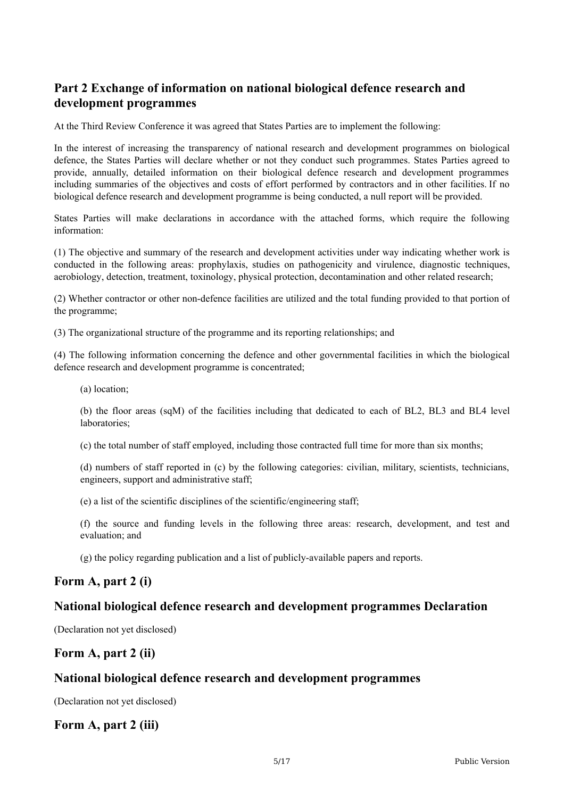## **Part 2 Exchange of information on national biological defence research and development programmes**

At the Third Review Conference it was agreed that States Parties are to implement the following:

In the interest of increasing the transparency of national research and development programmes on biological defence, the States Parties will declare whether or not they conduct such programmes. States Parties agreed to provide, annually, detailed information on their biological defence research and development programmes including summaries of the objectives and costs of effort performed by contractors and in other facilities. If no biological defence research and development programme is being conducted, a null report will be provided.

States Parties will make declarations in accordance with the attached forms, which require the following information:

(1) The objective and summary of the research and development activities under way indicating whether work is conducted in the following areas: prophylaxis, studies on pathogenicity and virulence, diagnostic techniques, aerobiology, detection, treatment, toxinology, physical protection, decontamination and other related research;

(2) Whether contractor or other non-defence facilities are utilized and the total funding provided to that portion of the programme;

(3) The organizational structure of the programme and its reporting relationships; and

(4) The following information concerning the defence and other governmental facilities in which the biological defence research and development programme is concentrated;

(a) location;

(b) the floor areas (sqM) of the facilities including that dedicated to each of BL2, BL3 and BL4 level laboratories;

(c) the total number of staff employed, including those contracted full time for more than six months;

(d) numbers of staff reported in (c) by the following categories: civilian, military, scientists, technicians, engineers, support and administrative staff;

(e) a list of the scientific disciplines of the scientific/engineering staff;

(f) the source and funding levels in the following three areas: research, development, and test and evaluation; and

(g) the policy regarding publication and a list of publicly-available papers and reports.

#### **Form A, part 2 (i)**

#### **National biological defence research and development programmes Declaration**

(Declaration not yet disclosed)

#### **Form A, part 2 (ii)**

#### **National biological defence research and development programmes**

(Declaration not yet disclosed)

#### **Form A, part 2 (iii)**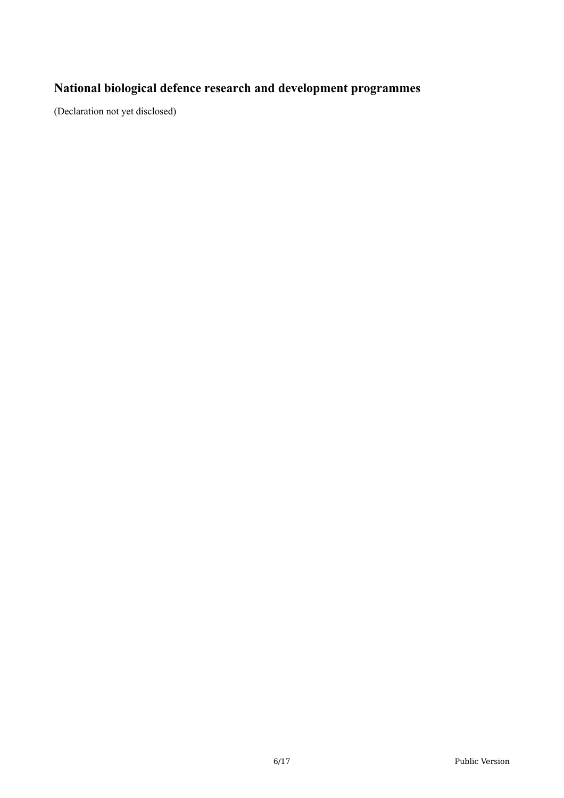# **National biological defence research and development programmes**

(Declaration not yet disclosed)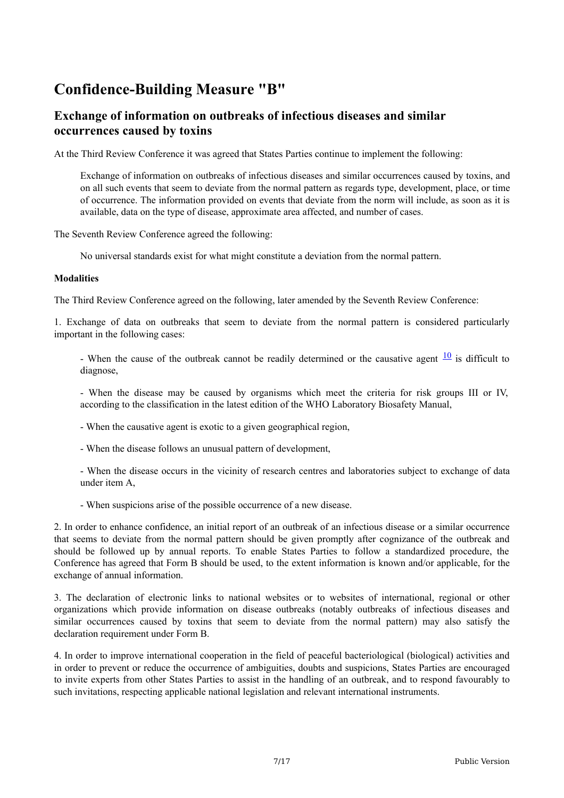# **Confidence-Building Measure "B"**

#### **Exchange of information on outbreaks of infectious diseases and similar occurrences caused by toxins**

At the Third Review Conference it was agreed that States Parties continue to implement the following:

Exchange of information on outbreaks of infectious diseases and similar occurrences caused by toxins, and on all such events that seem to deviate from the normal pattern as regards type, development, place, or time of occurrence. The information provided on events that deviate from the norm will include, as soon as it is available, data on the type of disease, approximate area affected, and number of cases.

The Seventh Review Conference agreed the following:

No universal standards exist for what might constitute a deviation from the normal pattern.

#### **Modalities**

The Third Review Conference agreed on the following, later amended by the Seventh Review Conference:

1. Exchange of data on outbreaks that seem to deviate from the normal pattern is considered particularly important in the following cases:

- When the cause of the outbreak cannot be readily determined or the causative agent  $\frac{10}{10}$  $\frac{10}{10}$  $\frac{10}{10}$  is difficult to diagnose,

- When the disease may be caused by organisms which meet the criteria for risk groups III or IV, according to the classification in the latest edition of the WHO Laboratory Biosafety Manual,

- When the causative agent is exotic to a given geographical region,

- When the disease follows an unusual pattern of development,

- When the disease occurs in the vicinity of research centres and laboratories subject to exchange of data under item A,

- When suspicions arise of the possible occurrence of a new disease.

2. In order to enhance confidence, an initial report of an outbreak of an infectious disease or a similar occurrence that seems to deviate from the normal pattern should be given promptly after cognizance of the outbreak and should be followed up by annual reports. To enable States Parties to follow a standardized procedure, the Conference has agreed that Form B should be used, to the extent information is known and/or applicable, for the exchange of annual information.

3. The declaration of electronic links to national websites or to websites of international, regional or other organizations which provide information on disease outbreaks (notably outbreaks of infectious diseases and similar occurrences caused by toxins that seem to deviate from the normal pattern) may also satisfy the declaration requirement under Form B.

4. In order to improve international cooperation in the field of peaceful bacteriological (biological) activities and in order to prevent or reduce the occurrence of ambiguities, doubts and suspicions, States Parties are encouraged to invite experts from other States Parties to assist in the handling of an outbreak, and to respond favourably to such invitations, respecting applicable national legislation and relevant international instruments.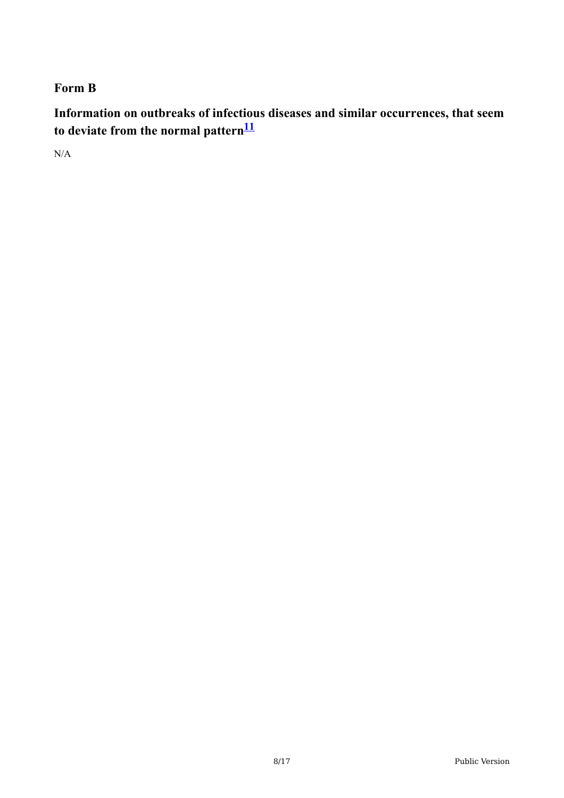## **Form B**

**Information on outbreaks of infectious diseases and similar occurrences, that seem to deviate from the normal pattern [11](#page-16-1)**

N/A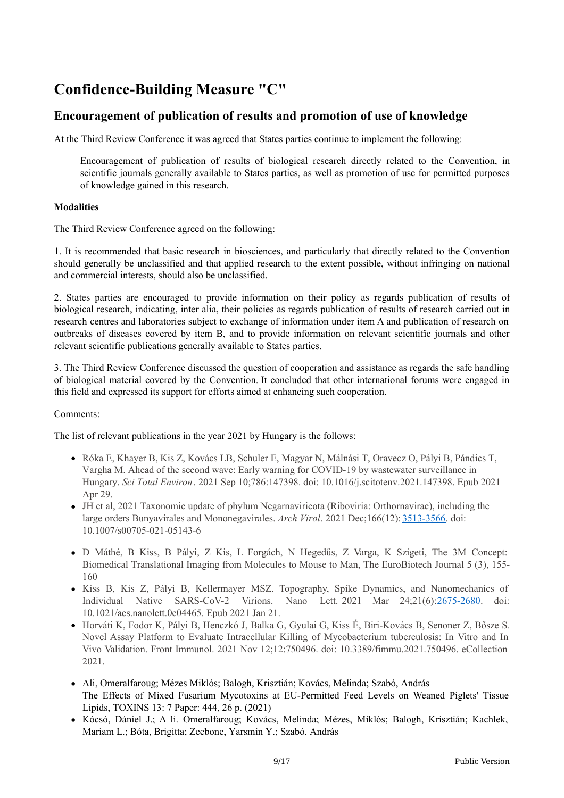# **Confidence-Building Measure "C"**

#### **Encouragement of publication of results and promotion of use of knowledge**

At the Third Review Conference it was agreed that States parties continue to implement the following:

Encouragement of publication of results of biological research directly related to the Convention, in scientific journals generally available to States parties, as well as promotion of use for permitted purposes of knowledge gained in this research.

#### **Modalities**

The Third Review Conference agreed on the following:

1. It is recommended that basic research in biosciences, and particularly that directly related to the Convention should generally be unclassified and that applied research to the extent possible, without infringing on national and commercial interests, should also be unclassified.

2. States parties are encouraged to provide information on their policy as regards publication of results of biological research, indicating, inter alia, their policies as regards publication of results of research carried out in research centres and laboratories subject to exchange of information under item A and publication of research on outbreaks of diseases covered by item B, and to provide information on relevant scientific journals and other relevant scientific publications generally available to States parties.

3. The Third Review Conference discussed the question of cooperation and assistance as regards the safe handling of biological material covered by the Convention. It concluded that other international forums were engaged in this field and expressed its support for efforts aimed at enhancing such cooperation.

#### Comments:

The list of relevant publications in the year 2021 by Hungary is the follows:

- Róka E, Khayer B, Kis Z, Kovács LB, Schuler E, Magyar N, Málnási T, Oravecz O, Pályi B, Pándics T, Vargha M. Ahead of the second wave: Early warning for COVID-19 by wastewater surveillance in Hungary. *Sci Total Environ*. 2021 Sep 10;786:147398. doi: 10.1016/j.scitotenv.2021.147398. Epub 2021 Apr 29.
- JH et al, 2021 Taxonomic update of phylum Negarnaviricota (Riboviria: Orthornavirae), including the large orders Bunyavirales and Mononegavirales. *Arch Virol*. 2021 Dec;166(12): [3513-3566](tel:35133566). doi: 10.1007/s00705-021-05143-6
- D Máthé, B Kiss, B Pályi, Z Kis, L Forgách, N Hegedűs, Z Varga, K Szigeti, The 3M Concept: Biomedical Translational Imaging from Molecules to Mouse to Man, The EuroBiotech Journal 5 (3), 155- 160
- Kiss B, Kis Z, Pályi B, Kellermayer MSZ. Topography, Spike Dynamics, and Nanomechanics of Individual Native SARS-CoV-2 Virions. Nano Lett. 2021 Mar 24;21(6):[2675-2680](tel:26752680). doi: 10.1021/acs.nanolett.0c04465. Epub 2021 Jan 21.
- Horváti K, Fodor K, Pályi B, Henczkó J, Balka G, Gyulai G, Kiss É, Biri-Kovács B, Senoner Z, Bősze S. Novel Assay Platform to Evaluate Intracellular Killing of Mycobacterium tuberculosis: In Vitro and In Vivo Validation. Front Immunol. 2021 Nov 12;12:750496. doi: 10.3389/fimmu.2021.750496. eCollection 2021.
- Ali, Omeralfaroug; Mézes Miklós; Balogh, Krisztián; Kovács, Melinda; Szabó, András The Effects of Mixed Fusarium Mycotoxins at EU-Permitted Feed Levels on Weaned Piglets' Tissue Lipids, TOXINS 13: 7 Paper: 444, 26 p. (2021)
- Kócsó, Dániel J.; A li. Omeralfaroug; Kovács, Melinda; Mézes, Miklós; Balogh, Krisztián; Kachlek, Mariam L.; Bóta, Brigitta; Zeebone, Yarsmin Y.; Szabó. András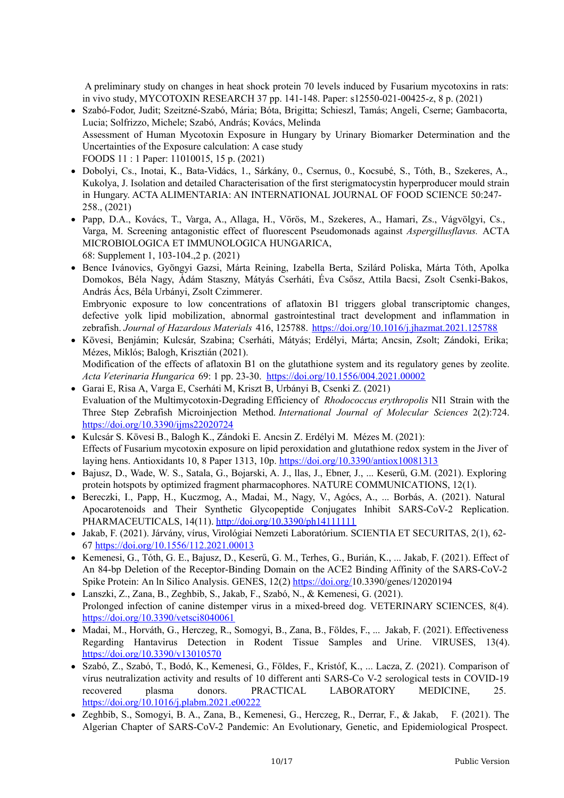A preliminary study on changes in heat shock protein 70 levels induced by Fusarium mycotoxins in rats: in vivo study, MYCOTOXIN RESEARCH 37 pp. 141-148. Paper: s12550-021-00425-z, 8 p. (2021)

- Szabó-Fodor, Judit; Szeitzné-Szabó, Mária; Bóta, Brigitta; Schieszl, Tamás; Angeli, Cserne; Gambacorta, Lucia; Solfrizzo, Michele; Szabó, András; Kovács, Melinda Assessment of Human Mycotoxin Exposure in Hungary by Urinary Biomarker Determination and the Uncertainties of the Exposure calculation: A case study FOODS 11 : 1 Paper: 11010015, 15 p. (2021)
- Dobolyi, Cs., Inotai, K., Bata-Vidács, 1., Sárkány, 0., Csernus, 0., Kocsubé, S., Tóth, B., Szekeres, A., Kukolya, J. Isolation and detailed Characterisation of the first sterigmatocystin hyperproducer mould strain in Hungary. ACTA ALIMENTARIA: AN INTERNATIONAL JOURNAL OF FOOD SCIENCE 50:247- 258., (2021)
- Papp, D.A., Kovács, T., Varga, A., Allaga, H., Vörös, M., Szekeres, A., Hamari, Zs., Vágvölgyi, Cs., Varga, M. Screening antagonistic effect of fluorescent Pseudomonads against *Aspergillusflavus.* ACTA MICROBIOLOGICA ET IMMUNOLOGICA HUNGARICA, 68: Supplement 1, 103-104.,2 p. (2021)
- Bence Ivánovics, Gyöngyi Gazsi, Márta Reining, Izabella Berta, Szilárd Poliska, Márta Tóth, Apolka Domokos, Béla Nagy, Ádám Staszny, Mátyás Cserháti, Éva Csősz, Attila Bacsi, Zsolt Csenki-Bakos, András Ács, Béla Urbányi, Zsolt Czimmerer. Embryonic exposure to low concentrations of aflatoxin B1 triggers global transcriptomic changes, defective yolk lipid mobilization, abnormal gastrointestinal tract development and inflammation in zebrafish. *Journal of Hazardous Materials* 416, 125788. <https://doi.org/10.1016/j.jhazmat.2021.125788>
- Kövesi, Benjámin; Kulcsár, Szabina; Cserháti, Mátyás; Erdélyi, Márta; Ancsin, Zsolt; Zándoki, Erika; Mézes, Miklós; Balogh, Krisztián (2021). Modification of the effects of aflatoxin B1 on the glutathione system and its regulatory genes by zeolite. *Acta Veterinaria Hungarica* 69: 1 pp. 23-30. <https://doi.org/10.1556/004.2021.00002>
- Garai E, Risa A, Varga E, Cserháti M, Kriszt B, Urbányi B, Csenki Z. (2021) Evaluation of the Multimycotoxin-Degrading Efficiency of *Rhodococcus erythropolis* NI1 Strain with the Three Step Zebrafish Microinjection Method. *International Journal of Molecular Sciences* 2(2):724. <https://doi.org/10.3390/ijms22020724>
- Kulcsár S. Kövesi B., Balogh K., Zándoki E. Ancsin Z. Erdélyi M. Mézes M. (2021): Effects of Fusarium mycotoxin exposure on lipid peroxidation and glutathione redox system in the Jiver of laying hens. Antioxidants 10, 8 Paper 1313, 10p. <https://doi.org/10.3390/antiox10081313>
- Bajusz, D., Wade, W. S., Satala, G., Bojarski, A. J., llas, J., Ebner, J., ... Keserű, G.M. (2021). Exploring protein hotspots by optimized fragment pharmacophores. NATURE COMMUNICATIONS, 12(1).
- Bereczki, I., Papp, H., Kuczmog, A., Madai, M., Nagy, V., Agócs, A., ... Borbás, A. (2021). Natural Apocarotenoids and Their Synthetic Glycopeptide Conjugates Inhibit SARS-CoV-2 Replication. PHARMACEUTICALS, 14(11). <http://doi.org/10.3390/ph14111111>
- Jakab, F. (2021). Járvány, vírus, Virológiai Nemzeti Laboratórium. SCIENTIA ET SECURITAS, 2(1), 62- 67 <https://doi.org/10.1556/112.2021.00013>
- Kemenesi, G., Tóth, G. E., Bajusz, D., Keserű, G. M., Terhes, G., Burián, K., ... Jakab, F. (2021). Effect of An 84-bp Deletion of the Receptor-Binding Domain on the ACE2 Binding Affinity of the SARS-CoV-2 Spike Protein: An ln Silico Analysis. GENES, 12(2) <https://doi.org/>10.3390/genes/12020194
- Lanszki, Z., Zana, B., Zeghbib, S., Jakab, F., Szabó, N., & Kemenesi, G. (2021). Prolonged infection of canine distemper virus in a mixed-breed dog. VETERINARY SCIENCES, 8(4). <https://doi.org/10.3390/vetsci8040061>
- Madai, M., Horváth, G., Herczeg, R., Somogyi, B., Zana, B., Földes, F., ... Jakab, F. (2021). Effectiveness Regarding Hantavirus Detection in Rodent Tissue Samples and Urine. VIRUSES, 13(4). <https://doi.org/10.3390/v13010570>
- Szabó, Z., Szabó, T., Bodó, K., Kemenesi, G., Földes, F., Kristóf, K., ... Lacza, Z. (2021). Comparison of vírus neutralization activity and results of 10 different anti SARS-Co V-2 serological tests in COVID-19 recovered plasma donors. PRACTICAL LABORATORY MEDICINE, 25. <https://doi.org/10.1016/j.plabm.2021.e00222>
- Zeghbib, S., Somogyi, B. A., Zana, B., Kemenesi, G., Herczeg, R., Derrar, F., & Jakab, F. (2021). The Algerian Chapter of SARS-CoV-2 Pandemic: An Evolutionary, Genetic, and Epidemiological Prospect.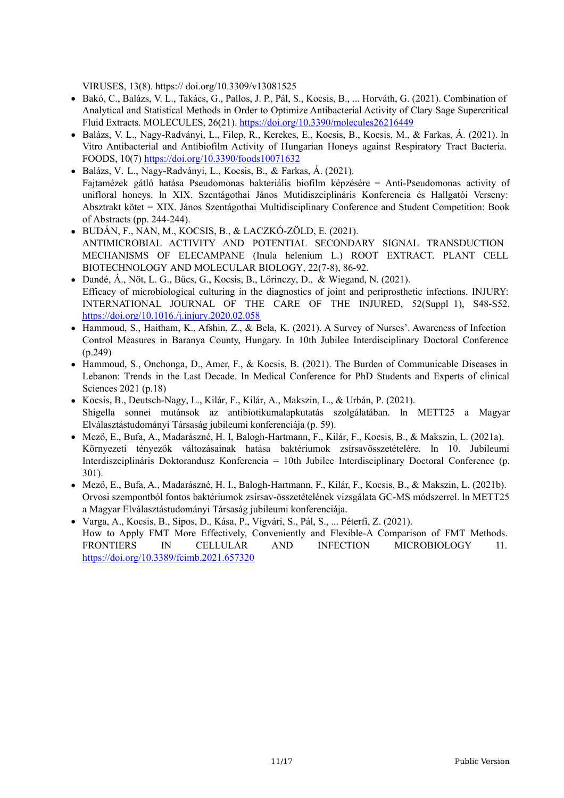VIRUSES, 13(8). https:// doi.org/10.3309/v13081525

- Bakó, C., Balázs, V. L., Takács, G., Pallos, J. P., Pál, S., Kocsis, B., ... Horváth, G. (2021). Combination of Analytical and Statistical Methods in Order to Optimize Antibacterial Activity of Clary Sage Supercritical Fluid Extracts. MOLECULES, 26(21). <https://doi.org/10.3390/molecules26216449>
- Balázs, V. L., Nagy-Radványi, L., Filep, R., Kerekes, E., Kocsis, B., Kocsis, M., & Farkas, Á. (2021). ln Vitro Antibacterial and Antibiofilm Activity of Hungarian Honeys against Respiratory Tract Bacteria. FOODS, 10(7) <https://doi.org/10.3390/foods10071632>
- Balázs, V. L., Nagy-Radványi, L., Kocsis, B., & Farkas, Á. (2021). Fajtamézek gátló hatása Pseudomonas bakteriális biofilm képzésére = Anti-Pseudomonas activity of unifloral honeys. ln XIX. Szcntágothai János Mutidiszciplináris Konferencia és Hallgatói Verseny: Absztrakt kötet = XIX. János Szentágothai Multidisciplinary Conference and Student Competition: Book of Abstracts (pp. 244-244).
- $\bullet$  BUDÁN, F., NAN, M., KOCSIS, B., & LACZKÓ-ZÖLD, E. (2021). ANTIMICROBIAL ACTIVITY AND POTENTIAL SECONDARY SIGNAL TRANSDUCTION MECHANISMS OF ELECAMPANE (Inula helenium L.) ROOT EXTRACT. PLANT CELL BIOTECHNOLOGY AND MOLECULAR BIOLOGY, 22(7-8), 86-92.
- Dandé, Á., Nöt, L. G., Bűcs, G., Kocsis, B., Lőrinczy, D., & Wiegand, N. (2021). Efficacy of microbiological culturing in the diagnostics of joint and periprosthetic infections. INJURY: INTERNATIONAL JOURNAL OF THE CARE OF THE INJURED, 52(Suppl 1), S48-S52. <https://doi.org/10.1016./j.injury.2020.02.058>
- Hammoud, S., Haitham, K., Afshin, Z., & Bela, K. (2021). A Survey of Nurses'. Awareness of Infection Control Measures in Baranya County, Hungary. In 10th Jubilee Interdisciplinary Doctoral Conference (p.249)
- Hammoud, S., Onchonga, D., Amer, F., & Kocsis, B. (2021). The Burden of Communicable Diseases in Lebanon: Trends in the Last Decade. In Medical Conference for PhD Students and Experts of clinical Sciences 2021 (p.18)
- Kocsis, B., Deutsch-Nagy, L., Kilár, F., Kilár, A., Makszin, L., & Urbán, P. (2021). Shigella sonnei mutánsok az antibiotikumalapkutatás szolgálatában. ln METT25 a Magyar Elválasztástudományi Társaság jubileumi konferenciája (p. 59).
- Mező, E., Bufa, A., Madarászné, H. I, Balogh-Hartmann, F., Kilár, F., Kocsis, B., & Makszin, L. (2021a). Környezeti tényezők változásainak hatása baktériumok zsírsavösszetételére. ln 10. Jubileumi Interdiszciplináris Doktorandusz Konferencia = 10th Jubilee Interdisciplinary Doctoral Conference (p. 301).
- Mező, E., Bufa, A., Madarászné, H. I., Balogh-Hartmann, F., Kilár, F., Kocsis, B., & Makszin, L. (2021b). Orvosi szempontból fontos baktériumok zsírsav-összetételének vizsgálata GC-MS módszerrel. ln METT25 a Magyar Elválasztástudományi Társaság jubileumi konferenciája.
- Varga, A., Kocsis, B., Sipos, D., Kása, P., Vigvári, S., Pál, S., ... Péterfi, Z. (2021). How to Apply FMT More Effectively, Conveniently and Flexible-A Comparison of FMT Methods. FRONTIERS IN CELLULAR AND INFECTION MICROBIOLOGY 11. <https://doi.org/10.3389/fcimb.2021.657320>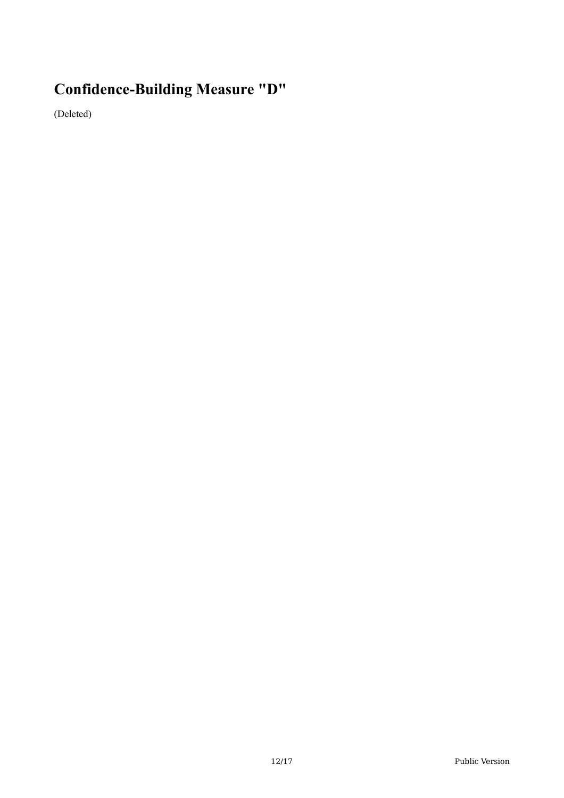# **Confidence-Building Measure "D"**

(Deleted)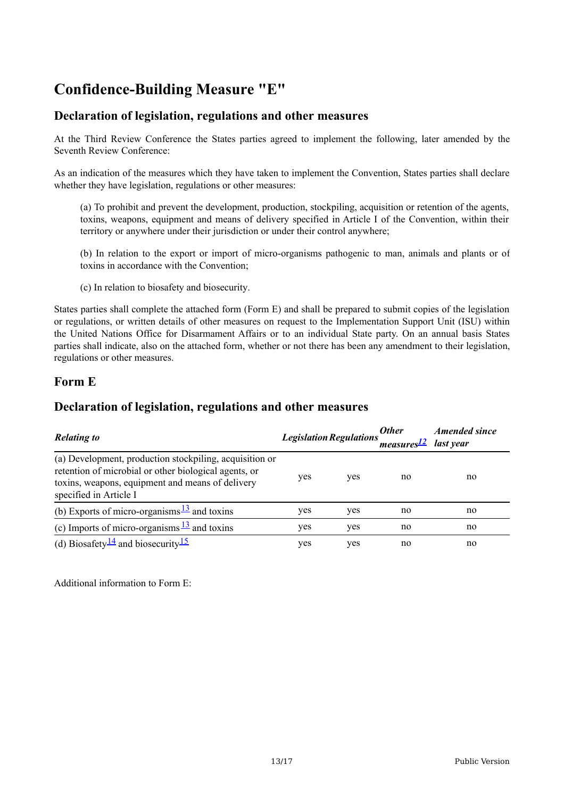# **Confidence-Building Measure "E"**

#### **Declaration of legislation, regulations and other measures**

At the Third Review Conference the States parties agreed to implement the following, later amended by the Seventh Review Conference:

As an indication of the measures which they have taken to implement the Convention, States parties shall declare whether they have legislation, regulations or other measures:

(a) To prohibit and prevent the development, production, stockpiling, acquisition or retention of the agents, toxins, weapons, equipment and means of delivery specified in Article I of the Convention, within their territory or anywhere under their jurisdiction or under their control anywhere;

(b) In relation to the export or import of micro-organisms pathogenic to man, animals and plants or of toxins in accordance with the Convention;

(c) In relation to biosafety and biosecurity.

States parties shall complete the attached form (Form E) and shall be prepared to submit copies of the legislation or regulations, or written details of other measures on request to the Implementation Support Unit (ISU) within the United Nations Office for Disarmament Affairs or to an individual State party. On an annual basis States parties shall indicate, also on the attached form, whether or not there has been any amendment to their legislation, regulations or other measures.

#### **Form E**

#### **Declaration of legislation, regulations and other measures**

| <b>Relating to</b>                                                                                                                                                                             |     |     | <b>Other</b><br>Legislation Regulations measures <sup>12</sup> last year | <b>Amended since</b> |
|------------------------------------------------------------------------------------------------------------------------------------------------------------------------------------------------|-----|-----|--------------------------------------------------------------------------|----------------------|
| (a) Development, production stockpiling, acquisition or<br>retention of microbial or other biological agents, or<br>toxins, weapons, equipment and means of delivery<br>specified in Article I | yes | yes | no                                                                       | no                   |
| (b) Exports of micro-organisms $\frac{13}{2}$ and toxins                                                                                                                                       | yes | yes | no                                                                       | no                   |
| (c) Imports of micro-organisms $\frac{13}{2}$ and toxins                                                                                                                                       | yes | yes | no                                                                       | no                   |
| (d) Biosafety <sup>14</sup> and biosecurity <sup>15</sup>                                                                                                                                      | yes | yes | no                                                                       | no                   |

Additional information to Form E: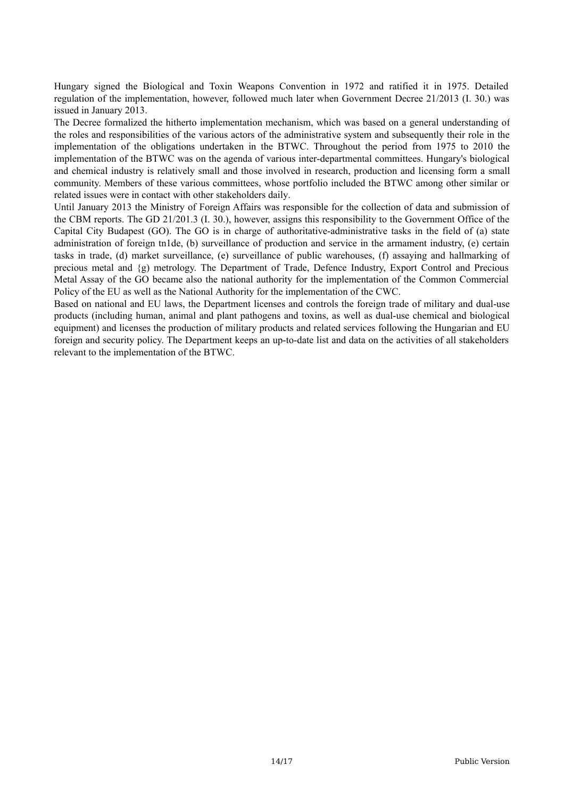Hungary signed the Biological and Toxin Weapons Convention in 1972 and ratified it in 1975. Detailed regulation of the implementation, however, followed much later when Government Decree 21/2013 (I. 30.) was issued in January 2013.

The Decree formalized the hitherto implementation mechanism, which was based on a general understanding of the roles and responsibilities of the various actors of the administrative system and subsequently their role in the implementation of the obligations undertaken in the BTWC. Throughout the period from 1975 to 2010 the implementation of the BTWC was on the agenda of various inter-departmental committees. Hungary's biological and chemical industry is relatively small and those involved in research, production and licensing form a small community. Members of these various committees, whose portfolio included the BTWC among other similar or related issues were in contact with other stakeholders daily.

Until January 2013 the Ministry of Foreign Affairs was responsible for the collection of data and submission of the CBM reports. The GD 21/201.3 (I. 30.), however, assigns this responsibility to the Government Office of the Capital City Budapest (GO). The GO is in charge of authoritative-administrative tasks in the field of (a) state administration of foreign tn1de, (b) surveillance of production and service in the armament industry, (e) certain tasks in trade, (d) market surveillance, (e) surveillance of public warehouses, (f) assaying and hallmarking of precious metal and {g) metrology. The Department of Trade, Defence Industry, Export Control and Precious Metal Assay of the GO became also the national authority for the implementation of the Common Commercial Policy of the EU as well as the National Authority for the implementation of the CWC.

Based on national and EU laws, the Department licenses and controls the foreign trade of military and dual-use products (including human, animal and plant pathogens and toxins, as well as dual-use chemical and biological equipment) and licenses the production of military products and related services following the Hungarian and EU foreign and security policy. The Department keeps an up-to-date list and data on the activities of all stakeholders relevant to the implementation of the BTWC.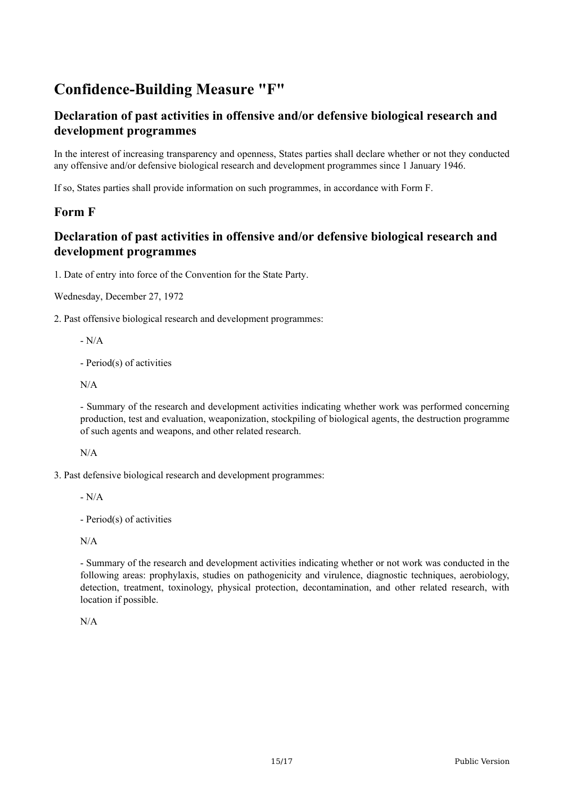# **Confidence-Building Measure "F"**

## **Declaration of past activities in offensive and/or defensive biological research and development programmes**

In the interest of increasing transparency and openness, States parties shall declare whether or not they conducted any offensive and/or defensive biological research and development programmes since 1 January 1946.

If so, States parties shall provide information on such programmes, in accordance with Form F.

#### **Form F**

## **Declaration of past activities in offensive and/or defensive biological research and development programmes**

1. Date of entry into force of the Convention for the State Party.

Wednesday, December 27, 1972

2. Past offensive biological research and development programmes:

 $-N/A$ 

- Period(s) of activities

N/A

- Summary of the research and development activities indicating whether work was performed concerning production, test and evaluation, weaponization, stockpiling of biological agents, the destruction programme of such agents and weapons, and other related research.

N/A

3. Past defensive biological research and development programmes:

- N/A

- Period(s) of activities

N/A

- Summary of the research and development activities indicating whether or not work was conducted in the following areas: prophylaxis, studies on pathogenicity and virulence, diagnostic techniques, aerobiology, detection, treatment, toxinology, physical protection, decontamination, and other related research, with location if possible.

N/A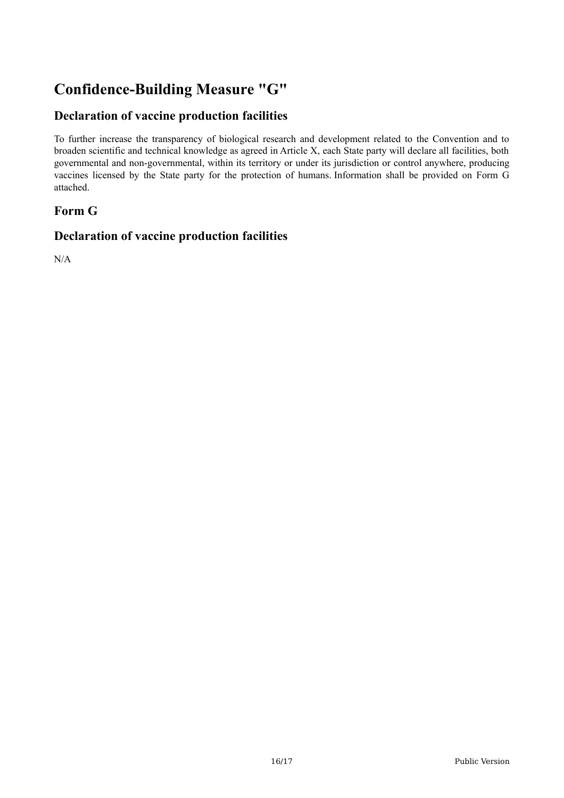# **Confidence-Building Measure "G"**

## **Declaration of vaccine production facilities**

To further increase the transparency of biological research and development related to the Convention and to broaden scientific and technical knowledge as agreed in Article X, each State party will declare all facilities, both governmental and non-governmental, within its territory or under its jurisdiction or control anywhere, producing vaccines licensed by the State party for the protection of humans. Information shall be provided on Form G attached.

## **Form G**

#### **Declaration of vaccine production facilities**

N/A